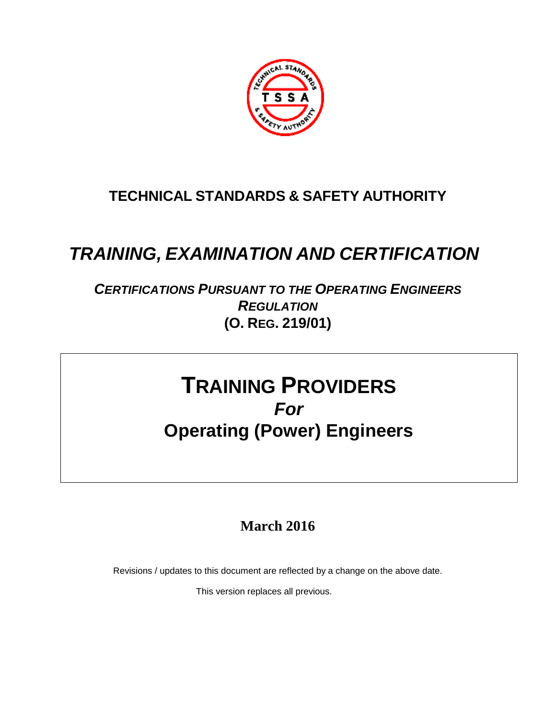

#### **TECHNICAL STANDARDS & SAFETY AUTHORITY**

# *TRAINING, EXAMINATION AND CERTIFICATION*

#### *CERTIFICATIONS PURSUANT TO THE OPERATING ENGINEERS REGULATION* **(O. REG. 219/01)**

# **TRAINING PROVIDERS** *For* **Operating (Power) Engineers**

#### **March 2016**

Revisions / updates to this document are reflected by a change on the above date.

This version replaces all previous.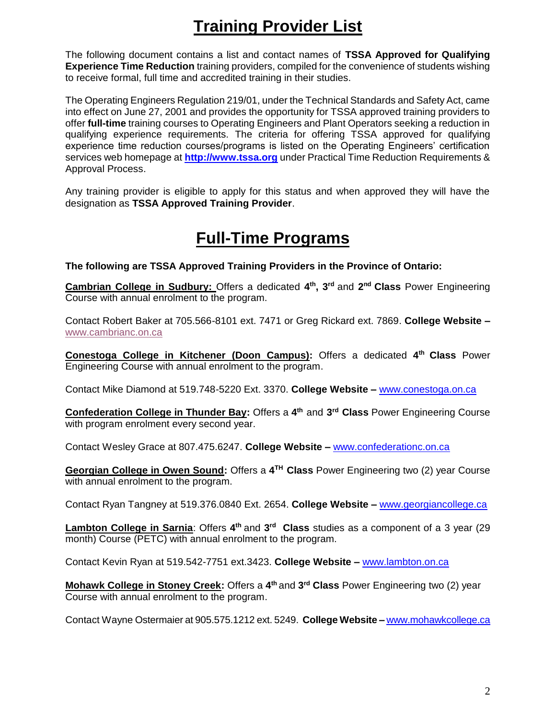## **Training Provider List**

The following document contains a list and contact names of **TSSA Approved for Qualifying Experience Time Reduction** training providers, compiled for the convenience of students wishing to receive formal, full time and accredited training in their studies.

The Operating Engineers Regulation 219/01, under the Technical Standards and Safety Act, came into effect on June 27, 2001 and provides the opportunity for TSSA approved training providers to offer **full-time** training courses to Operating Engineers and Plant Operators seeking a reduction in qualifying experience requirements. The criteria for offering TSSA approved for qualifying experience time reduction courses/programs is listed on the Operating Engineers' certification services web homepage at **[http://www.tssa.org](http://www.tssa.org/)** under Practical Time Reduction Requirements & Approval Process.

Any training provider is eligible to apply for this status and when approved they will have the designation as **TSSA Approved Training Provider**.

### **Full-Time Programs**

**The following are TSSA Approved Training Providers in the Province of Ontario:**

**Cambrian College in Sudbury:** Offers a dedicated **4 th , 3 rd** and **2 nd Class** Power Engineering Course with annual enrolment to the program.

Contact Robert Baker at 705.566-8101 ext. 7471 or Greg Rickard ext. 7869. **College Website –** [www.cambrianc.on.ca](http://www.cambrianc.on.ca/)

**Conestoga College in Kitchener (Doon Campus):** Offers a dedicated **4 th Class** Power Engineering Course with annual enrolment to the program.

Contact Mike Diamond at 519.748-5220 Ext. 3370. **College Website –** [www.conestoga.on.ca](http://www.conestoga.on.ca/)

**Confederation College in Thunder Bay:** Offers a **4 th** and **3 rd Class** Power Engineering Course with program enrolment every second year.

Contact Wesley Grace at 807.475.6247. **College Website –** [www.confederationc.on.ca](http://www.confederationc.on.ca/)

**Georgian College in Owen Sound:** Offers a **4 TH Class** Power Engineering two (2) year Course with annual enrolment to the program.

Contact Ryan Tangney at 519.376.0840 Ext. 2654. **College Website –** [www.georgiancollege.ca](http://www.georgiancollege.ca/)

Lambton College in Sarnia: Offers 4<sup>th</sup> and 3<sup>rd</sup> Class studies as a component of a 3 year (29 month) Course (PETC) with annual enrolment to the program.

Contact Kevin Ryan at 519.542-7751 ext.3423. **College Website –** [www.lambton.on.ca](http://www.lambton.on.ca/)

**Mohawk College in Stoney Creek:** Offers a **4 th** and **3 rd Class** Power Engineering two (2) year Course with annual enrolment to the program.

Contact Wayne Ostermaier at 905.575.1212 ext. 5249. **College Website –** [www.mohawkcollege.ca](http://www.mohawkcollege.ca/)